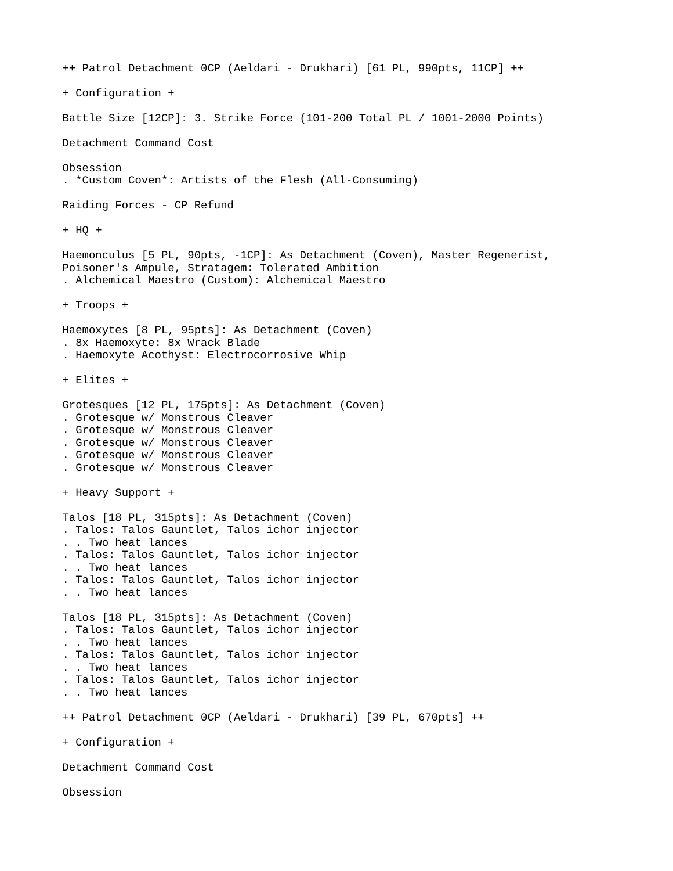```
++ Patrol Detachment 0CP (Aeldari - Drukhari) [61 PL, 990pts, 11CP] ++
+ Configuration +
Battle Size [12CP]: 3. Strike Force (101-200 Total PL / 1001-2000 Points)
Detachment Command Cost
Obsession
. *Custom Coven*: Artists of the Flesh (All-Consuming)
Raiding Forces - CP Refund
+ HQ +
Haemonculus [5 PL, 90pts, -1CP]: As Detachment (Coven), Master Regenerist, 
Poisoner's Ampule, Stratagem: Tolerated Ambition
. Alchemical Maestro (Custom): Alchemical Maestro
+ Troops +
Haemoxytes [8 PL, 95pts]: As Detachment (Coven)
. 8x Haemoxyte: 8x Wrack Blade
. Haemoxyte Acothyst: Electrocorrosive Whip
+ Elites +
Grotesques [12 PL, 175pts]: As Detachment (Coven)
. Grotesque w/ Monstrous Cleaver
. Grotesque w/ Monstrous Cleaver
. Grotesque w/ Monstrous Cleaver
. Grotesque w/ Monstrous Cleaver
. Grotesque w/ Monstrous Cleaver
+ Heavy Support +
Talos [18 PL, 315pts]: As Detachment (Coven)
. Talos: Talos Gauntlet, Talos ichor injector
. . Two heat lances
. Talos: Talos Gauntlet, Talos ichor injector
. . Two heat lances
. Talos: Talos Gauntlet, Talos ichor injector
. . Two heat lances
Talos [18 PL, 315pts]: As Detachment (Coven)
. Talos: Talos Gauntlet, Talos ichor injector
. . Two heat lances
. Talos: Talos Gauntlet, Talos ichor injector
. . Two heat lances
. Talos: Talos Gauntlet, Talos ichor injector
. . Two heat lances
++ Patrol Detachment 0CP (Aeldari - Drukhari) [39 PL, 670pts] ++
+ Configuration +
Detachment Command Cost
Obsession
```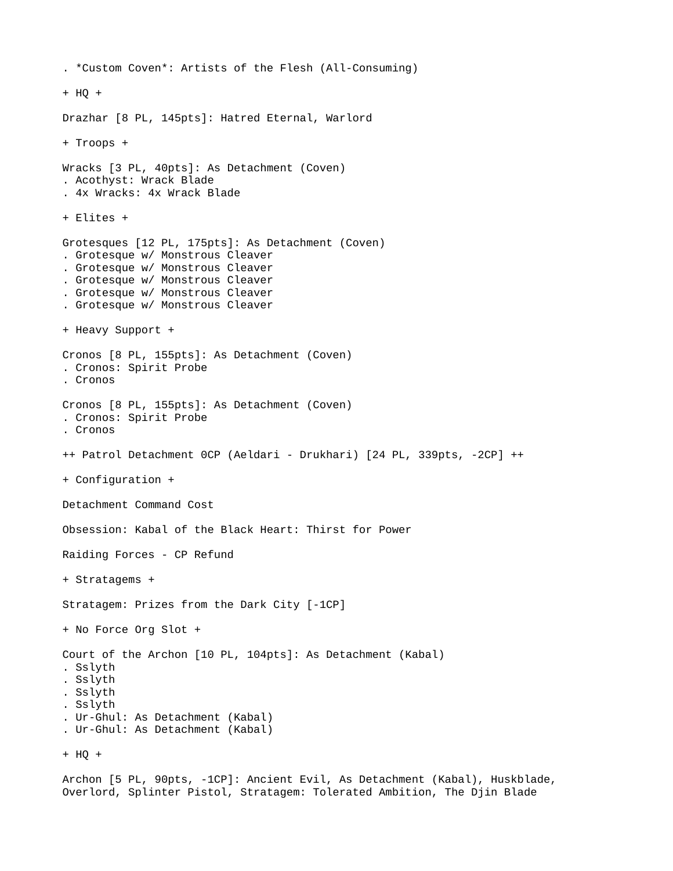```
. *Custom Coven*: Artists of the Flesh (All-Consuming)
+ HQ +
Drazhar [8 PL, 145pts]: Hatred Eternal, Warlord
+ Troops +
Wracks [3 PL, 40pts]: As Detachment (Coven)
. Acothyst: Wrack Blade
. 4x Wracks: 4x Wrack Blade
+ Elites +
Grotesques [12 PL, 175pts]: As Detachment (Coven)
. Grotesque w/ Monstrous Cleaver
. Grotesque w/ Monstrous Cleaver
. Grotesque w/ Monstrous Cleaver
. Grotesque w/ Monstrous Cleaver
. Grotesque w/ Monstrous Cleaver
+ Heavy Support +
Cronos [8 PL, 155pts]: As Detachment (Coven)
. Cronos: Spirit Probe
. Cronos
Cronos [8 PL, 155pts]: As Detachment (Coven)
. Cronos: Spirit Probe
. Cronos
++ Patrol Detachment 0CP (Aeldari - Drukhari) [24 PL, 339pts, -2CP] ++
+ Configuration +
Detachment Command Cost
Obsession: Kabal of the Black Heart: Thirst for Power
Raiding Forces - CP Refund
+ Stratagems +
Stratagem: Prizes from the Dark City [-1CP]
+ No Force Org Slot +
Court of the Archon [10 PL, 104pts]: As Detachment (Kabal)
. Sslyth
. Sslyth
. Sslyth
. Sslyth
. Ur-Ghul: As Detachment (Kabal)
. Ur-Ghul: As Detachment (Kabal)
+ HQ +
Archon [5 PL, 90pts, -1CP]: Ancient Evil, As Detachment (Kabal), Huskblade, 
Overlord, Splinter Pistol, Stratagem: Tolerated Ambition, The Djin Blade
```